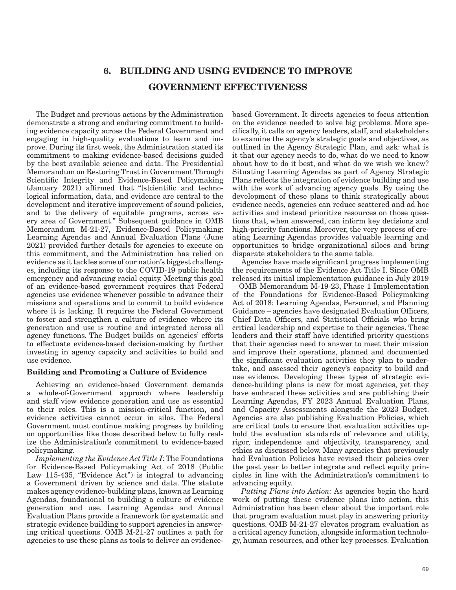# 6. BUILDING AND USING EVIDENCE TO IMPROVE GOVERNMENT EFFECTIVENESS

The Budget and previous actions by the Administration demonstrate a strong and enduring commitment to building evidence capacity across the Federal Government and engaging in high-quality evaluations to learn and improve. During its first week, the Administration stated its commitment to making evidence-based decisions guided by the best available science and data. The Presidential Memorandum on Restoring Trust in Government Through Scientific Integrity and Evidence-Based Policymaking (January 2021) affirmed that "[s]cientific and technological information, data, and evidence are central to the development and iterative improvement of sound policies, and to the delivery of equitable programs, across every area of Government." Subsequent guidance in OMB Memorandum M-21-27, Evidence-Based Policymaking: Learning Agendas and Annual Evaluation Plans (June 2021) provided further details for agencies to execute on this commitment, and the Administration has relied on evidence as it tackles some of our nation's biggest challenges, including its response to the COVID-19 public health emergency and advancing racial equity. Meeting this goal of an evidence-based government requires that Federal agencies use evidence whenever possible to advance their missions and operations and to commit to build evidence where it is lacking. It requires the Federal Government to foster and strengthen a culture of evidence where its generation and use is routine and integrated across all agency functions. The Budget builds on agencies' efforts to effectuate evidence-based decision-making by further investing in agency capacity and activities to build and use evidence.

## Building and Promoting a Culture of Evidence

Achieving an evidence-based Government demands a whole-of-Government approach where leadership and staff view evidence generation and use as essential to their roles. This is a mission-critical function, and evidence activities cannot occur in silos. The Federal Government must continue making progress by building on opportunities like those described below to fully realize the Administration's commitment to evidence-based policymaking.

*Implementing the Evidence Act Title I*: The Foundations for Evidence-Based Policymaking Act of 2018 (Public Law 115-435, "Evidence Act") is integral to advancing a Government driven by science and data. The statute makes agency evidence-building plans, known as Learning Agendas, foundational to building a culture of evidence generation and use. Learning Agendas and Annual Evaluation Plans provide a framework for systematic and strategic evidence building to support agencies in answering critical questions. OMB M-21-27 outlines a path for agencies to use these plans as tools to deliver an evidencebased Government. It directs agencies to focus attention on the evidence needed to solve big problems. More specifically, it calls on agency leaders, staff, and stakeholders to examine the agency's strategic goals and objectives, as outlined in the Agency Strategic Plan, and ask: what is it that our agency needs to do, what do we need to know about how to do it best, and what do we wish we knew? Situating Learning Agendas as part of Agency Strategic Plans reflects the integration of evidence building and use with the work of advancing agency goals. By using the development of these plans to think strategically about evidence needs, agencies can reduce scattered and ad hoc activities and instead prioritize resources on those questions that, when answered, can inform key decisions and high-priority functions. Moreover, the very process of creating Learning Agendas provides valuable learning and opportunities to bridge organizational siloes and bring disparate stakeholders to the same table.

Agencies have made significant progress implementing the requirements of the Evidence Act Title I. Since OMB released its initial implementation guidance in July 2019 – OMB Memorandum M-19-23, Phase 1 Implementation of the Foundations for Evidence-Based Policymaking Act of 2018: Learning Agendas, Personnel, and Planning Guidance – agencies have designated Evaluation Officers, Chief Data Officers, and Statistical Officials who bring critical leadership and expertise to their agencies. These leaders and their staff have identified priority questions that their agencies need to answer to meet their mission and improve their operations, planned and documented the significant evaluation activities they plan to undertake, and assessed their agency's capacity to build and use evidence. Developing these types of strategic evidence-building plans is new for most agencies, yet they have embraced these activities and are publishing their Learning Agendas, FY 2023 Annual Evaluation Plans, and Capacity Assessments alongside the 2023 Budget. Agencies are also publishing Evaluation Policies, which are critical tools to ensure that evaluation activities uphold the evaluation standards of relevance and utility, rigor, independence and objectivity, transparency, and ethics as discussed below. Many agencies that previously had Evaluation Policies have revised their policies over the past year to better integrate and reflect equity principles in line with the Administration's commitment to advancing equity.

*Putting Plans into Action:* As agencies begin the hard work of putting these evidence plans into action, this Administration has been clear about the important role that program evaluation must play in answering priority questions. OMB M-21-27 elevates program evaluation as a critical agency function, alongside information technology, human resources, and other key processes. Evaluation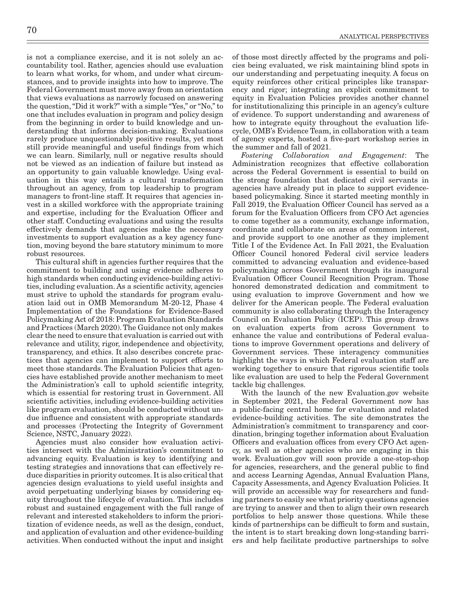is not a compliance exercise, and it is not solely an accountability tool. Rather, agencies should use evaluation to learn what works, for whom, and under what circumstances, and to provide insights into how to improve. The Federal Government must move away from an orientation that views evaluations as narrowly focused on answering the question, "Did it work?" with a simple "Yes," or "No," to one that includes evaluation in program and policy design from the beginning in order to build knowledge and understanding that informs decision-making. Evaluations rarely produce unquestionably positive results, yet most still provide meaningful and useful findings from which we can learn. Similarly, null or negative results should not be viewed as an indication of failure but instead as an opportunity to gain valuable knowledge. Using evaluation in this way entails a cultural transformation throughout an agency, from top leadership to program managers to front-line staff. It requires that agencies invest in a skilled workforce with the appropriate training and expertise, including for the Evaluation Officer and other staff. Conducting evaluations and using the results effectively demands that agencies make the necessary investments to support evaluation as a key agency function, moving beyond the bare statutory minimum to more robust resources.

This cultural shift in agencies further requires that the commitment to building and using evidence adheres to high standards when conducting evidence-building activities, including evaluation. As a scientific activity, agencies must strive to uphold the standards for program evaluation laid out in OMB Memorandum M-20-12, Phase 4 Implementation of the Foundations for Evidence-Based Policymaking Act of 2018: Program Evaluation Standards and Practices (March 2020). The Guidance not only makes clear the need to ensure that evaluation is carried out with relevance and utility, rigor, independence and objectivity, transparency, and ethics. It also describes concrete practices that agencies can implement to support efforts to meet those standards. The Evaluation Policies that agencies have established provide another mechanism to meet the Administration's call to uphold scientific integrity, which is essential for restoring trust in Government. All scientific activities, including evidence-building activities like program evaluation, should be conducted without undue influence and consistent with appropriate standards and processes (Protecting the Integrity of Government Science, NSTC, January 2022).

Agencies must also consider how evaluation activities intersect with the Administration's commitment to advancing equity. Evaluation is key to identifying and testing strategies and innovations that can effectively reduce disparities in priority outcomes. It is also critical that agencies design evaluations to yield useful insights and avoid perpetuating underlying biases by considering equity throughout the lifecycle of evaluation. This includes robust and sustained engagement with the full range of relevant and interested stakeholders to inform the prioritization of evidence needs, as well as the design, conduct, and application of evaluation and other evidence-building activities. When conducted without the input and insight

of those most directly affected by the programs and policies being evaluated, we risk maintaining blind spots in our understanding and perpetuating inequity. A focus on equity reinforces other critical principles like transparency and rigor; integrating an explicit commitment to equity in Evaluation Policies provides another channel for institutionalizing this principle in an agency's culture of evidence. To support understanding and awareness of how to integrate equity throughout the evaluation lifecycle, OMB's Evidence Team, in collaboration with a team of agency experts, hosted a five-part workshop series in the summer and fall of 2021.

*Fostering Collaboration and Engagement*: The Administration recognizes that effective collaboration across the Federal Government is essential to build on the strong foundation that dedicated civil servants in agencies have already put in place to support evidencebased policymaking. Since it started meeting monthly in Fall 2019, the Evaluation Officer Council has served as a forum for the Evaluation Officers from CFO Act agencies to come together as a community, exchange information, coordinate and collaborate on areas of common interest, and provide support to one another as they implement Title I of the Evidence Act. In Fall 2021, the Evaluation Officer Council honored Federal civil service leaders committed to advancing evaluation and evidence-based policymaking across Government through its inaugural Evaluation Officer Council Recognition Program. Those honored demonstrated dedication and commitment to using evaluation to improve Government and how we deliver for the American people. The Federal evaluation community is also collaborating through the Interagency Council on Evaluation Policy (ICEP). This group draws on evaluation experts from across Government to enhance the value and contributions of Federal evaluations to improve Government operations and delivery of Government services. These interagency communities highlight the ways in which Federal evaluation staff are working together to ensure that rigorous scientific tools like evaluation are used to help the Federal Government tackle big challenges.

With the launch of the new Evaluation.gov website in September 2021, the Federal Government now has a public-facing central home for evaluation and related evidence-building activities. The site demonstrates the Administration's commitment to transparency and coordination, bringing together information about Evaluation Officers and evaluation offices from every CFO Act agency, as well as other agencies who are engaging in this work. Evaluation.gov will soon provide a one-stop-shop for agencies, researchers, and the general public to find and access Learning Agendas, Annual Evaluation Plans, Capacity Assessments, and Agency Evaluation Policies. It will provide an accessible way for researchers and funding partners to easily see what priority questions agencies are trying to answer and then to align their own research portfolios to help answer those questions. While these kinds of partnerships can be difficult to form and sustain, the intent is to start breaking down long-standing barriers and help facilitate productive partnerships to solve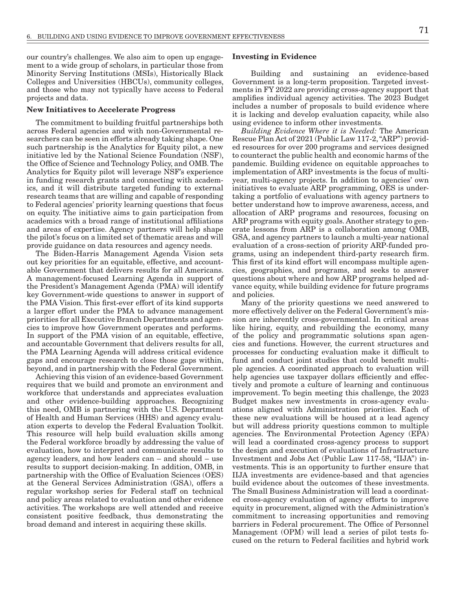our country's challenges. We also aim to open up engagement to a wide group of scholars, in particular those from Minority Serving Institutions (MSIs), Historically Black Colleges and Universities (HBCUs), community colleges, and those who may not typically have access to Federal projects and data.

#### New Initiatives to Accelerate Progress

The commitment to building fruitful partnerships both across Federal agencies and with non-Governmental researchers can be seen in efforts already taking shape. One such partnership is the Analytics for Equity pilot, a new initiative led by the National Science Foundation (NSF), the Office of Science and Technology Policy, and OMB. The Analytics for Equity pilot will leverage NSF's experience in funding research grants and connecting with academics, and it will distribute targeted funding to external research teams that are willing and capable of responding to Federal agencies' priority learning questions that focus on equity. The initiative aims to gain participation from academics with a broad range of institutional affiliations and areas of expertise. Agency partners will help shape the pilot's focus on a limited set of thematic areas and will provide guidance on data resources and agency needs.

The Biden-Harris Management Agenda Vision sets out key priorities for an equitable, effective, and accountable Government that delivers results for all Americans. A management-focused Learning Agenda in support of the President's Management Agenda (PMA) will identify key Government-wide questions to answer in support of the PMA Vision. This first-ever effort of its kind supports a larger effort under the PMA to advance management priorities for all Executive Branch Departments and agencies to improve how Government operates and performs. In support of the PMA vision of an equitable, effective, and accountable Government that delivers results for all, the PMA Learning Agenda will address critical evidence gaps and encourage research to close those gaps within, beyond, and in partnership with the Federal Government.

Achieving this vision of an evidence-based Government requires that we build and promote an environment and workforce that understands and appreciates evaluation and other evidence-building approaches. Recognizing this need, OMB is partnering with the U.S. Department of Health and Human Services (HHS) and agency evaluation experts to develop the Federal Evaluation Toolkit. This resource will help build evaluation skills among the Federal workforce broadly by addressing the value of evaluation, how to interpret and communicate results to agency leaders, and how leaders can – and should – use results to support decision-making. In addition, OMB, in partnership with the Office of Evaluation Sciences (OES) at the General Services Administration (GSA), offers a regular workshop series for Federal staff on technical and policy areas related to evaluation and other evidence activities. The workshops are well attended and receive consistent positive feedback, thus demonstrating the broad demand and interest in acquiring these skills.

#### Investing in Evidence

 Building and sustaining an evidence-based Government is a long-term proposition. Targeted investments in FY 2022 are providing cross-agency support that amplifies individual agency activities. The 2023 Budget includes a number of proposals to build evidence where it is lacking and develop evaluation capacity, while also using evidence to inform other investments.

*Building Evidence Where it is Needed:* The American Rescue Plan Act of 2021 (Public Law 117-2, "ARP") provided resources for over 200 programs and services designed to counteract the public health and economic harms of the pandemic. Building evidence on equitable approaches to implementation of ARP investments is the focus of multiyear, multi-agency projects. In addition to agencies' own initiatives to evaluate ARP programming, OES is undertaking a portfolio of evaluations with agency partners to better understand how to improve awareness, access, and allocation of ARP programs and resources, focusing on ARP programs with equity goals. Another strategy to generate lessons from ARP is a collaboration among OMB, GSA, and agency partners to launch a multi-year national evaluation of a cross-section of priority ARP-funded programs, using an independent third-party research firm. This first of its kind effort will encompass multiple agencies, geographies, and programs, and seeks to answer questions about where and how ARP programs helped advance equity, while building evidence for future programs and policies.

Many of the priority questions we need answered to more effectively deliver on the Federal Government's mission are inherently cross-governmental. In critical areas like hiring, equity, and rebuilding the economy, many of the policy and programmatic solutions span agencies and functions. However, the current structures and processes for conducting evaluation make it difficult to fund and conduct joint studies that could benefit multiple agencies. A coordinated approach to evaluation will help agencies use taxpayer dollars efficiently and effectively and promote a culture of learning and continuous improvement. To begin meeting this challenge, the 2023 Budget makes new investments in cross-agency evaluations aligned with Administration priorities. Each of these new evaluations will be housed at a lead agency but will address priority questions common to multiple agencies. The Environmental Protection Agency (EPA) will lead a coordinated cross-agency process to support the design and execution of evaluations of Infrastructure Investment and Jobs Act (Public Law 117-58, "IIJA") investments. This is an opportunity to further ensure that IIJA investments are evidence-based and that agencies build evidence about the outcomes of these investments. The Small Business Administration will lead a coordinated cross-agency evaluation of agency efforts to improve equity in procurement, aligned with the Administration's commitment to increasing opportunities and removing barriers in Federal procurement. The Office of Personnel Management (OPM) will lead a series of pilot tests focused on the return to Federal facilities and hybrid work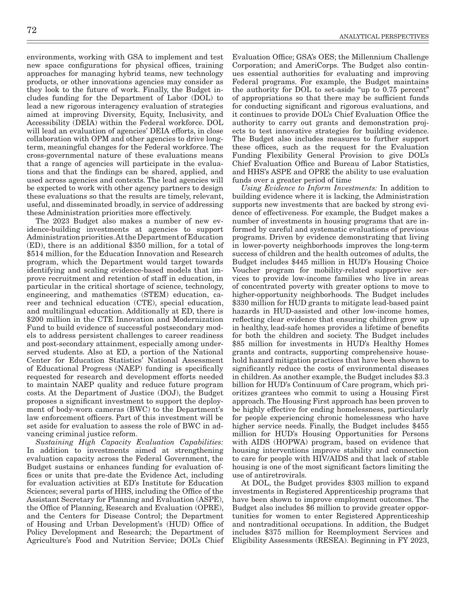environments, working with GSA to implement and test new space configurations for physical offices, training approaches for managing hybrid teams, new technology products, or other innovations agencies may consider as they look to the future of work. Finally, the Budget includes funding for the Department of Labor (DOL) to lead a new rigorous interagency evaluation of strategies aimed at improving Diversity, Equity, Inclusivity, and Accessibility (DEIA) within the Federal workforce. DOL will lead an evaluation of agencies' DEIA efforts, in close collaboration with OPM and other agencies to drive longterm, meaningful changes for the Federal workforce. The cross-governmental nature of these evaluations means that a range of agencies will participate in the evaluations and that the findings can be shared, applied, and used across agencies and contexts. The lead agencies will be expected to work with other agency partners to design these evaluations so that the results are timely, relevant, useful, and disseminated broadly, in service of addressing these Administration priorities more effectively.

The 2023 Budget also makes a number of new evidence-building investments at agencies to support Administration priorities. At the Department of Education (ED), there is an additional \$350 million, for a total of \$514 million, for the Education Innovation and Research program, which the Department would target towards identifying and scaling evidence-based models that improve recruitment and retention of staff in education, in particular in the critical shortage of science, technology, engineering, and mathematics (STEM) education, career and technical education (CTE), special education, and multilingual education. Additionally at ED, there is \$200 million in the CTE Innovation and Modernization Fund to build evidence of successful postsecondary models to address persistent challenges to career readiness and post-secondary attainment, especially among underserved students. Also at ED, a portion of the National Center for Education Statistics' National Assessment of Educational Progress (NAEP) funding is specifically requested for research and development efforts needed to maintain NAEP quality and reduce future program costs. At the Department of Justice (DOJ), the Budget proposes a significant investment to support the deployment of body-worn cameras (BWC) to the Department's law enforcement officers. Part of this investment will be set aside for evaluation to assess the role of BWC in advancing criminal justice reform.

*Sustaining High Capacity Evaluation Capabilities:* In addition to investments aimed at strengthening evaluation capacity across the Federal Government, the Budget sustains or enhances funding for evaluation offices or units that pre-date the Evidence Act, including for evaluation activities at ED's Institute for Education Sciences; several parts of HHS, including the Office of the Assistant Secretary for Planning and Evaluation (ASPE), the Office of Planning, Research and Evaluation (OPRE), and the Centers for Disease Control; the Department of Housing and Urban Development's (HUD) Office of Policy Development and Research; the Department of Agriculture's Food and Nutrition Service; DOL's Chief Evaluation Office; GSA's OES; the Millennium Challenge Corporation; and AmeriCorps. The Budget also continues essential authorities for evaluating and improving Federal programs. For example, the Budget maintains the authority for DOL to set-aside "up to 0.75 percent" of appropriations so that there may be sufficient funds for conducting significant and rigorous evaluations, and it continues to provide DOL's Chief Evaluation Office the authority to carry out grants and demonstration projects to test innovative strategies for building evidence. The Budget also includes measures to further support these offices, such as the request for the Evaluation Funding Flexibility General Provision to give DOL's Chief Evaluation Office and Bureau of Labor Statistics, and HHS's ASPE and OPRE the ability to use evaluation funds over a greater period of time

*Using Evidence to Inform Investments:* In addition to building evidence where it is lacking, the Administration supports new investments that are backed by strong evidence of effectiveness. For example, the Budget makes a number of investments in housing programs that are informed by careful and systematic evaluations of previous programs. Driven by evidence demonstrating that living in lower-poverty neighborhoods improves the long-term success of children and the health outcomes of adults, the Budget includes \$445 million in HUD's Housing Choice Voucher program for mobility-related supportive services to provide low-income families who live in areas of concentrated poverty with greater options to move to higher-opportunity neighborhoods. The Budget includes \$330 million for HUD grants to mitigate lead-based paint hazards in HUD-assisted and other low-income homes, reflecting clear evidence that ensuring children grow up in healthy, lead-safe homes provides a lifetime of benefits for both the children and society. The Budget includes \$85 million for investments in HUD's Healthy Homes grants and contracts, supporting comprehensive household hazard mitigation practices that have been shown to significantly reduce the costs of environmental diseases in children. As another example, the Budget includes \$3.3 billion for HUD's Continuum of Care program, which prioritizes grantees who commit to using a Housing First approach. The Housing First approach has been proven to be highly effective for ending homelessness, particularly for people experiencing chronic homelessness who have higher service needs. Finally, the Budget includes \$455 million for HUD's Housing Opportunities for Persons with AIDS (HOPWA) program, based on evidence that housing interventions improve stability and connection to care for people with HIV/AIDS and that lack of stable housing is one of the most significant factors limiting the use of antiretrovirals.

At DOL, the Budget provides \$303 million to expand investments in Registered Apprenticeship programs that have been shown to improve employment outcomes. The Budget also includes \$6 million to provide greater opportunities for women to enter Registered Apprenticeship and nontraditional occupations. In addition, the Budget includes \$375 million for Reemployment Services and Eligibility Assessments (RESEA). Beginning in FY 2023,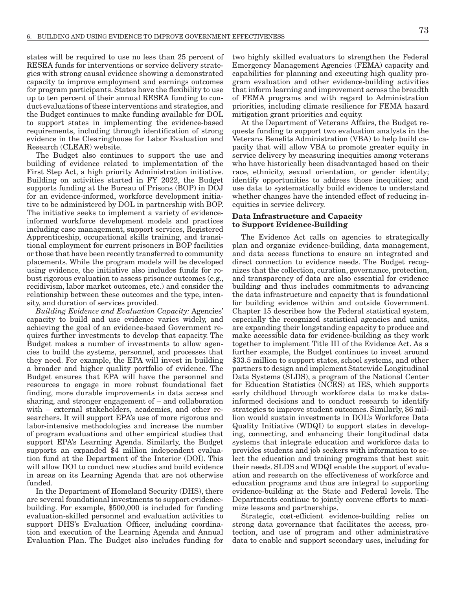states will be required to use no less than 25 percent of RESEA funds for interventions or service delivery strategies with strong causal evidence showing a demonstrated capacity to improve employment and earnings outcomes for program participants. States have the flexibility to use up to ten percent of their annual RESEA funding to conduct evaluations of these interventions and strategies, and the Budget continues to make funding available for DOL to support states in implementing the evidence-based requirements, including through identification of strong evidence in the Clearinghouse for Labor Evaluation and Research (CLEAR) website.

The Budget also continues to support the use and building of evidence related to implementation of the First Step Act, a high priority Administration initiative. Building on activities started in FY 2022, the Budget supports funding at the Bureau of Prisons (BOP) in DOJ for an evidence-informed, workforce development initiative to be administered by DOL in partnership with BOP. The initiative seeks to implement a variety of evidenceinformed workforce development models and practices including case management, support services, Registered Apprenticeship, occupational skills training, and transitional employment for current prisoners in BOP facilities or those that have been recently transferred to community placements. While the program models will be developed using evidence, the initiative also includes funds for robust rigorous evaluation to assess prisoner outcomes (e.g., recidivism, labor market outcomes, etc.) and consider the relationship between these outcomes and the type, intensity, and duration of services provided.

*Building Evidence and Evaluation Capacity:* Agencies' capacity to build and use evidence varies widely, and achieving the goal of an evidence-based Government requires further investments to develop that capacity. The Budget makes a number of investments to allow agencies to build the systems, personnel, and processes that they need. For example, the EPA will invest in building a broader and higher quality portfolio of evidence. The Budget ensures that EPA will have the personnel and resources to engage in more robust foundational fact finding, more durable improvements in data access and sharing, and stronger engagement of – and collaboration with – external stakeholders, academics, and other researchers. It will support EPA's use of more rigorous and labor-intensive methodologies and increase the number of program evaluations and other empirical studies that support EPA's Learning Agenda. Similarly, the Budget supports an expanded \$4 million independent evaluation fund at the Department of the Interior (DOI). This will allow DOI to conduct new studies and build evidence in areas on its Learning Agenda that are not otherwise funded.

In the Department of Homeland Security (DHS), there are several foundational investments to support evidencebuilding. For example, \$500,000 is included for funding evaluation-skilled personnel and evaluation activities to support DHS's Evaluation Officer, including coordination and execution of the Learning Agenda and Annual Evaluation Plan. The Budget also includes funding for

two highly skilled evaluators to strengthen the Federal Emergency Management Agencies (FEMA) capacity and capabilities for planning and executing high quality program evaluation and other evidence-building activities that inform learning and improvement across the breadth of FEMA programs and with regard to Administration priorities, including climate resilience for FEMA hazard mitigation grant priorities and equity.

At the Department of Veterans Affairs, the Budget requests funding to support two evaluation analysts in the Veterans Benefits Administration (VBA) to help build capacity that will allow VBA to promote greater equity in service delivery by measuring inequities among veterans who have historically been disadvantaged based on their race, ethnicity, sexual orientation, or gender identity; identify opportunities to address those inequities; and use data to systematically build evidence to understand whether changes have the intended effect of reducing inequities in service delivery.

### Data Infrastructure and Capacity to Support Evidence-Building

The Evidence Act calls on agencies to strategically plan and organize evidence-building, data management, and data access functions to ensure an integrated and direct connection to evidence needs. The Budget recognizes that the collection, curation, governance, protection, and transparency of data are also essential for evidence building and thus includes commitments to advancing the data infrastructure and capacity that is foundational for building evidence within and outside Government. Chapter 15 describes how the Federal statistical system, especially the recognized statistical agencies and units, are expanding their longstanding capacity to produce and make accessible data for evidence-building as they work together to implement Title III of the Evidence Act. As a further example, the Budget continues to invest around \$33.5 million to support states, school systems, and other partners to design and implement Statewide Longitudinal Data Systems (SLDS), a program of the National Center for Education Statistics (NCES) at IES, which supports early childhood through workforce data to make datainformed decisions and to conduct research to identify strategies to improve student outcomes. Similarly, \$6 million would sustain investments in DOL's Workforce Data Quality Initiative (WDQI) to support states in developing, connecting, and enhancing their longitudinal data systems that integrate education and workforce data to provides students and job seekers with information to select the education and training programs that best suit their needs. SLDS and WDQI enable the support of evaluation and research on the effectiveness of workforce and education programs and thus are integral to supporting evidence-building at the State and Federal levels. The Departments continue to jointly convene efforts to maximize lessons and partnerships.

Strategic, cost-efficient evidence-building relies on strong data governance that facilitates the access, protection, and use of program and other administrative data to enable and support secondary uses, including for